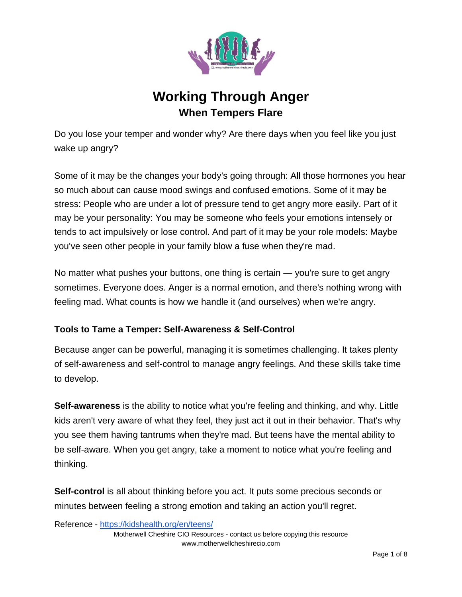

# **Working Through Anger When Tempers Flare**

Do you lose your temper and wonder why? Are there days when you feel like you just wake up angry?

Some of it may be the changes your body's going through: All those hormones you hear so much about can cause mood swings and confused emotions. Some of it may be stress: People who are under a lot of pressure tend to get angry more easily. Part of it may be your personality: You may be someone who feels your emotions intensely or tends to act impulsively or lose control. And part of it may be your role models: Maybe you've seen other people in your family blow a fuse when they're mad.

No matter what pushes your buttons, one thing is certain — you're sure to get angry sometimes. Everyone does. Anger is a normal emotion, and there's nothing wrong with feeling mad. What counts is how we handle it (and ourselves) when we're angry.

# **Tools to Tame a Temper: Self-Awareness & Self-Control**

Because anger can be powerful, managing it is sometimes challenging. It takes plenty of self-awareness and self-control to manage angry feelings. And these skills take time to develop.

**Self-awareness** is the ability to notice what you're feeling and thinking, and why. Little kids aren't very aware of what they feel, they just act it out in their behavior. That's why you see them having tantrums when they're mad. But teens have the mental ability to be self-aware. When you get angry, take a moment to notice what you're feeling and thinking.

**Self-control** is all about thinking before you act. It puts some precious seconds or minutes between feeling a strong emotion and taking an action you'll regret.

Reference - <https://kidshealth.org/en/teens/>

Motherwell Cheshire CIO Resources - contact us before copying this resource www.motherwellcheshirecio.com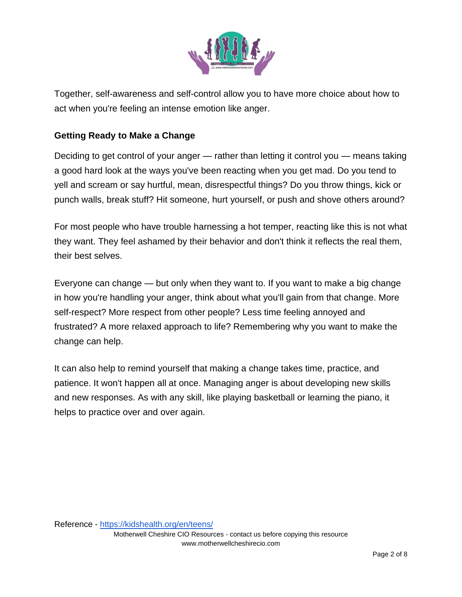

Together, self-awareness and self-control allow you to have more choice about how to act when you're feeling an intense emotion like anger.

### **Getting Ready to Make a Change**

Deciding to get control of your anger — rather than letting it control you — means taking a good hard look at the ways you've been reacting when you get mad. Do you tend to yell and scream or say hurtful, mean, disrespectful things? Do you throw things, kick or punch walls, break stuff? Hit someone, hurt yourself, or push and shove others around?

For most people who have trouble harnessing a hot temper, reacting like this is not what they want. They feel ashamed by their behavior and don't think it reflects the real them, their best selves.

Everyone can change — but only when they want to. If you want to make a big change in how you're handling your anger, think about what you'll gain from that change. More self-respect? More respect from other people? Less time feeling annoyed and frustrated? A more relaxed approach to life? Remembering why you want to make the change can help.

It can also help to remind yourself that making a change takes time, practice, and patience. It won't happen all at once. Managing anger is about developing new skills and new responses. As with any skill, like playing basketball or learning the piano, it helps to practice over and over again.

Reference - <https://kidshealth.org/en/teens/>

Motherwell Cheshire CIO Resources - contact us before copying this resource www.motherwellcheshirecio.com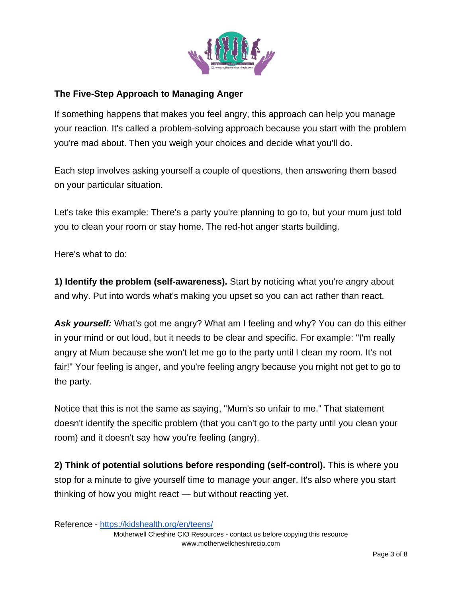

## **The Five-Step Approach to Managing Anger**

If something happens that makes you feel angry, this approach can help you manage your reaction. It's called a problem-solving approach because you start with the problem you're mad about. Then you weigh your choices and decide what you'll do.

Each step involves asking yourself a couple of questions, then answering them based on your particular situation.

Let's take this example: There's a party you're planning to go to, but your mum just told you to clean your room or stay home. The red-hot anger starts building.

Here's what to do:

**1) Identify the problem (self-awareness).** Start by noticing what you're angry about and why. Put into words what's making you upset so you can act rather than react.

Ask yourself: What's got me angry? What am I feeling and why? You can do this either in your mind or out loud, but it needs to be clear and specific. For example: "I'm really angry at Mum because she won't let me go to the party until I clean my room. It's not fair!" Your feeling is anger, and you're feeling angry because you might not get to go to the party.

Notice that this is not the same as saying, "Mum's so unfair to me." That statement doesn't identify the specific problem (that you can't go to the party until you clean your room) and it doesn't say how you're feeling (angry).

**2) Think of potential solutions before responding (self-control).** This is where you stop for a minute to give yourself time to manage your anger. It's also where you start thinking of how you might react — but without reacting yet.

Reference - <https://kidshealth.org/en/teens/>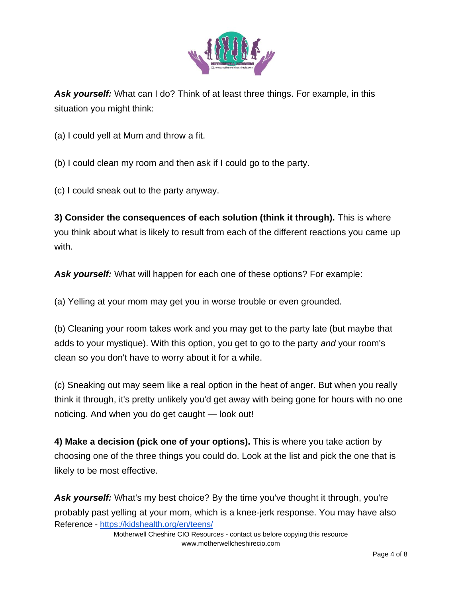

*Ask yourself:* What can I do? Think of at least three things. For example, in this situation you might think:

(a) I could yell at Mum and throw a fit.

(b) I could clean my room and then ask if I could go to the party.

(c) I could sneak out to the party anyway.

**3) Consider the consequences of each solution (think it through).** This is where you think about what is likely to result from each of the different reactions you came up with.

*Ask yourself:* What will happen for each one of these options? For example:

(a) Yelling at your mom may get you in worse trouble or even grounded.

(b) Cleaning your room takes work and you may get to the party late (but maybe that adds to your mystique). With this option, you get to go to the party *and* your room's clean so you don't have to worry about it for a while.

(c) Sneaking out may seem like a real option in the heat of anger. But when you really think it through, it's pretty unlikely you'd get away with being gone for hours with no one noticing. And when you do get caught — look out!

**4) Make a decision (pick one of your options).** This is where you take action by choosing one of the three things you could do. Look at the list and pick the one that is likely to be most effective.

Reference - <https://kidshealth.org/en/teens/> Ask yourself: What's my best choice? By the time you've thought it through, you're probably past yelling at your mom, which is a knee-jerk response. You may have also

> Motherwell Cheshire CIO Resources - contact us before copying this resource www.motherwellcheshirecio.com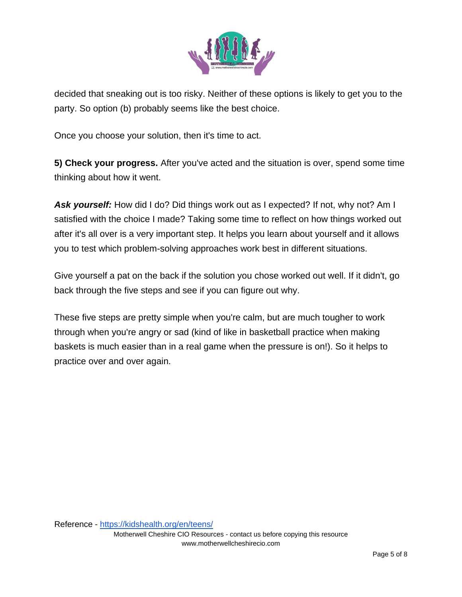

decided that sneaking out is too risky. Neither of these options is likely to get you to the party. So option (b) probably seems like the best choice.

Once you choose your solution, then it's time to act.

**5) Check your progress.** After you've acted and the situation is over, spend some time thinking about how it went.

Ask yourself: How did I do? Did things work out as I expected? If not, why not? Am I satisfied with the choice I made? Taking some time to reflect on how things worked out after it's all over is a very important step. It helps you learn about yourself and it allows you to test which problem-solving approaches work best in different situations.

Give yourself a pat on the back if the solution you chose worked out well. If it didn't, go back through the five steps and see if you can figure out why.

These five steps are pretty simple when you're calm, but are much tougher to work through when you're angry or sad (kind of like in basketball practice when making baskets is much easier than in a real game when the pressure is on!). So it helps to practice over and over again.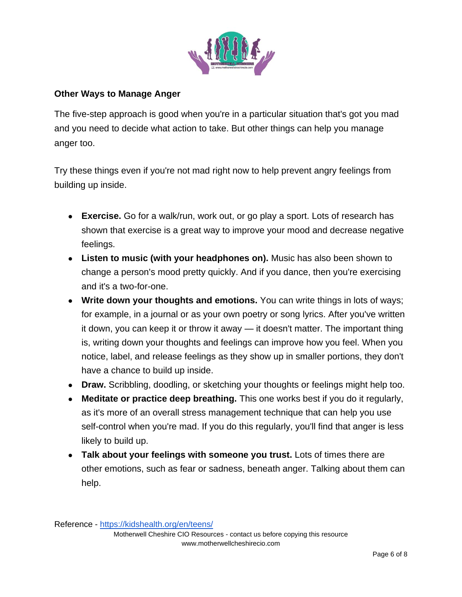

#### **Other Ways to Manage Anger**

The five-step approach is good when you're in a particular situation that's got you mad and you need to decide what action to take. But other things can help you manage anger too.

Try these things even if you're not mad right now to help prevent angry feelings from building up inside.

- **Exercise.** Go for a walk/run, work out, or go play a sport. Lots of research has shown that exercise is a great way to improve your mood and decrease negative feelings.
- **Listen to music (with your headphones on).** Music has also been shown to change a person's mood pretty quickly. And if you dance, then you're exercising and it's a two-for-one.
- Write down your thoughts and emotions. You can write things in lots of ways; for example, in a journal or as your own poetry or song lyrics. After you've written it down, you can keep it or throw it away — it doesn't matter. The important thing is, writing down your thoughts and feelings can improve how you feel. When you notice, label, and release feelings as they show up in smaller portions, they don't have a chance to build up inside.
- **Draw.** Scribbling, doodling, or sketching your thoughts or feelings might help too.
- **Meditate or practice deep breathing.** This one works best if you do it regularly, as it's more of an overall stress management technique that can help you use self-control when you're mad. If you do this regularly, you'll find that anger is less likely to build up.
- **Talk about your feelings with someone you trust.** Lots of times there are other emotions, such as fear or sadness, beneath anger. Talking about them can help.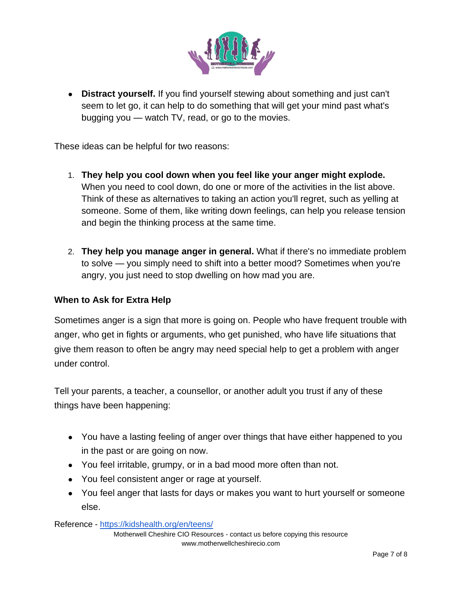

● **Distract yourself.** If you find yourself stewing about something and just can't seem to let go, it can help to do something that will get your mind past what's bugging you — watch TV, read, or go to the movies.

These ideas can be helpful for two reasons:

- 1. **They help you cool down when you feel like your anger might explode.**  When you need to cool down, do one or more of the activities in the list above. Think of these as alternatives to taking an action you'll regret, such as yelling at someone. Some of them, like writing down feelings, can help you release tension and begin the thinking process at the same time.
- 2. **They help you manage anger in general.** What if there's no immediate problem to solve — you simply need to shift into a better mood? Sometimes when you're angry, you just need to stop dwelling on how mad you are.

#### **When to Ask for Extra Help**

Sometimes anger is a sign that more is going on. People who have frequent trouble with anger, who get in fights or arguments, who get punished, who have life situations that give them reason to often be angry may need special help to get a problem with anger under control.

Tell your parents, a teacher, a counsellor, or another adult you trust if any of these things have been happening:

- You have a lasting feeling of anger over things that have either happened to you in the past or are going on now.
- You feel irritable, grumpy, or in a bad mood more often than not.
- You feel consistent anger or rage at yourself.
- You feel anger that lasts for days or makes you want to hurt yourself or someone else.